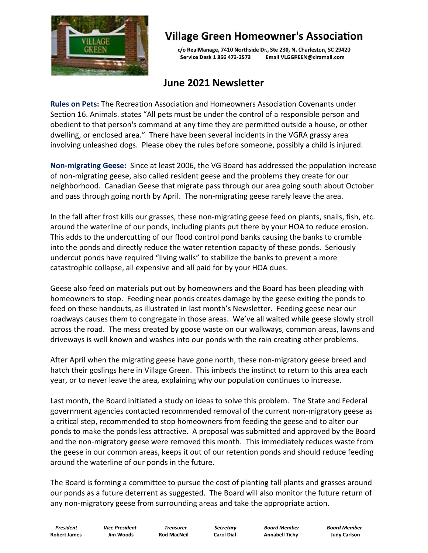

## **Village Green Homeowner's Association**

c/o RealManage, 7410 Northside Dr., Ste 230, N. Charleston, SC 29420 Service Desk 1 866 473-2573 Email VLGGREEN@ciramail.com

## **June 2021 Newsletter**

**Rules on Pets:** The Recreation Association and Homeowners Association Covenants under Section 16. Animals. states "All pets must be under the control of a responsible person and obedient to that person's command at any time they are permitted outside a house, or other dwelling, or enclosed area." There have been several incidents in the VGRA grassy area involving unleashed dogs. Please obey the rules before someone, possibly a child is injured.

**Non-migrating Geese:** Since at least 2006, the VG Board has addressed the population increase of non-migrating geese, also called resident geese and the problems they create for our neighborhood. Canadian Geese that migrate pass through our area going south about October and pass through going north by April. The non-migrating geese rarely leave the area.

In the fall after frost kills our grasses, these non-migrating geese feed on plants, snails, fish, etc. around the waterline of our ponds, including plants put there by your HOA to reduce erosion. This adds to the undercutting of our flood control pond banks causing the banks to crumble into the ponds and directly reduce the water retention capacity of these ponds. Seriously undercut ponds have required "living walls" to stabilize the banks to prevent a more catastrophic collapse, all expensive and all paid for by your HOA dues.

Geese also feed on materials put out by homeowners and the Board has been pleading with homeowners to stop. Feeding near ponds creates damage by the geese exiting the ponds to feed on these handouts, as illustrated in last month's Newsletter. Feeding geese near our roadways causes them to congregate in those areas. We've all waited while geese slowly stroll across the road. The mess created by goose waste on our walkways, common areas, lawns and driveways is well known and washes into our ponds with the rain creating other problems.

After April when the migrating geese have gone north, these non-migratory geese breed and hatch their goslings here in Village Green. This imbeds the instinct to return to this area each year, or to never leave the area, explaining why our population continues to increase.

Last month, the Board initiated a study on ideas to solve this problem. The State and Federal government agencies contacted recommended removal of the current non-migratory geese as a critical step, recommended to stop homeowners from feeding the geese and to alter our ponds to make the ponds less attractive. A proposal was submitted and approved by the Board and the non-migratory geese were removed this month. This immediately reduces waste from the geese in our common areas, keeps it out of our retention ponds and should reduce feeding around the waterline of our ponds in the future.

The Board is forming a committee to pursue the cost of planting tall plants and grasses around our ponds as a future deterrent as suggested. The Board will also monitor the future return of any non-migratory geese from surrounding areas and take the appropriate action.